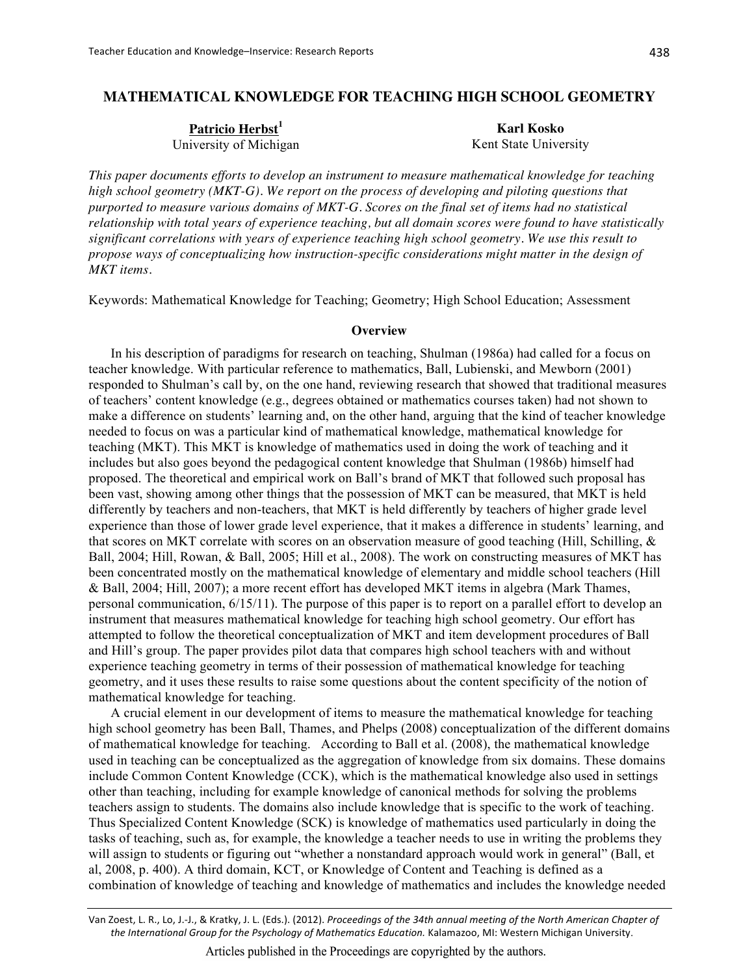# **MATHEMATICAL KNOWLEDGE FOR TEACHING HIGH SCHOOL GEOMETRY**

Patricio Herbst<sup>1</sup> University of Michigan

**Karl Kosko** Kent State University

This paper documents efforts to develop an instrument to measure mathematical knowledge for teaching high school geometry (MKT-G). We report on the process of developing and piloting questions that purported to measure various domains of MKT-G. Scores on the final set of items had no statistical relationship with total years of experience teaching, but all domain scores were found to have statistically significant correlations with years of experience teaching high school geometry. We use this result to propose ways of conceptualizing how instruction-specific considerations might matter in the design of MKT items.

Keywords: Mathematical Knowledge for Teaching; Geometry; High School Education; Assessment

#### **Overview**

In his description of paradigms for research on teaching, Shulman (1986a) had called for a focus on teacher knowledge. With particular reference to mathematics, Ball, Lubienski, and Mewborn (2001) responded to Shulman's call by, on the one hand, reviewing research that showed that traditional measures of teachers' content knowledge (e.g., degrees obtained or mathematics courses taken) had not shown to make a difference on students' learning and, on the other hand, arguing that the kind of teacher knowledge needed to focus on was a particular kind of mathematical knowledge, mathematical knowledge for teaching (MKT). This MKT is knowledge of mathematics used in doing the work of teaching and it includes but also goes beyond the pedagogical content knowledge that Shulman (1986b) himself had proposed. The theoretical and empirical work on Ball's brand of MKT that followed such proposal has been vast, showing among other things that the possession of MKT can be measured, that MKT is held differently by teachers and non-teachers, that MKT is held differently by teachers of higher grade level experience than those of lower grade level experience, that it makes a difference in students' learning, and that scores on MKT correlate with scores on an observation measure of good teaching (Hill, Schilling,  $\&$ Ball, 2004; Hill, Rowan, & Ball, 2005; Hill et al., 2008). The work on constructing measures of MKT has been concentrated mostly on the mathematical knowledge of elementary and middle school teachers (Hill & Ball, 2004; Hill, 2007); a more recent effort has developed MKT items in algebra (Mark Thames, personal communication, 6/15/11). The purpose of this paper is to report on a parallel effort to develop an instrument that measures mathematical knowledge for teaching high school geometry. Our effort has attempted to follow the theoretical conceptualization of MKT and item development procedures of Ball and Hill's group. The paper provides pilot data that compares high school teachers with and without experience teaching geometry in terms of their possession of mathematical knowledge for teaching geometry, and it uses these results to raise some questions about the content specificity of the notion of mathematical knowledge for teaching.

A crucial element in our development of items to measure the mathematical knowledge for teaching high school geometry has been Ball, Thames, and Phelps (2008) conceptualization of the different domains of mathematical knowledge for teaching. According to Ball et al. (2008), the mathematical knowledge used in teaching can be conceptualized as the aggregation of knowledge from six domains. These domains include Common Content Knowledge (CCK), which is the mathematical knowledge also used in settings other than teaching, including for example knowledge of canonical methods for solving the problems teachers assign to students. The domains also include knowledge that is specific to the work of teaching. Thus Specialized Content Knowledge (SCK) is knowledge of mathematics used particularly in doing the tasks of teaching, such as, for example, the knowledge a teacher needs to use in writing the problems they will assign to students or figuring out "whether a nonstandard approach would work in general" (Ball, et al, 2008, p. 400). A third domain, KCT, or Knowledge of Content and Teaching is defined as a combination of knowledge of teaching and knowledge of mathematics and includes the knowledge needed

Van Zoest, L. R., Lo, J.-J., & Kratky, J. L. (Eds.). (2012). Proceedings of the 34th annual meeting of the North American Chapter of the International Group for the Psychology of Mathematics Education. Kalamazoo, MI: Western Michigan University.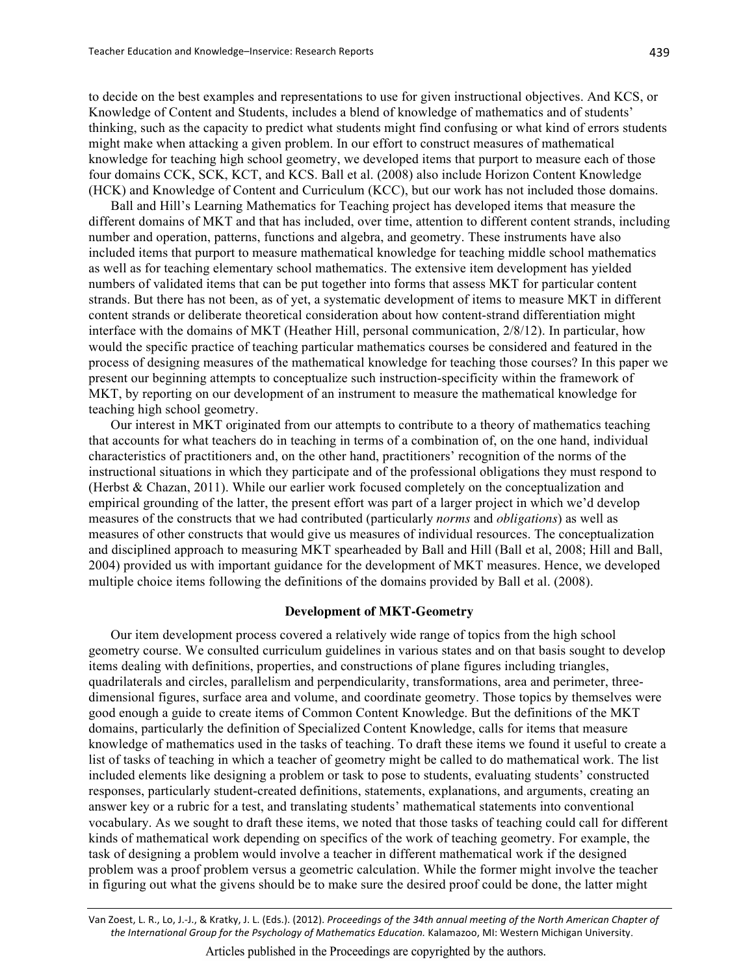to decide on the best examples and representations to use for given instructional objectives. And KCS, or Knowledge of Content and Students, includes a blend of knowledge of mathematics and of students' thinking, such as the capacity to predict what students might find confusing or what kind of errors students might make when attacking a given problem. In our effort to construct measures of mathematical knowledge for teaching high school geometry, we developed items that purport to measure each of those four domains CCK, SCK, KCT, and KCS. Ball et al. (2008) also include Horizon Content Knowledge (HCK) and Knowledge of Content and Curriculum (KCC), but our work has not included those domains.

Ball and Hill's Learning Mathematics for Teaching project has developed items that measure the different domains of MKT and that has included, over time, attention to different content strands, including number and operation, patterns, functions and algebra, and geometry. These instruments have also included items that purport to measure mathematical knowledge for teaching middle school mathematics as well as for teaching elementary school mathematics. The extensive item development has yielded numbers of validated items that can be put together into forms that assess MKT for particular content strands. But there has not been, as of yet, a systematic development of items to measure MKT in different content strands or deliberate theoretical consideration about how content-strand differentiation might interface with the domains of MKT (Heather Hill, personal communication, 2/8/12). In particular, how would the specific practice of teaching particular mathematics courses be considered and featured in the process of designing measures of the mathematical knowledge for teaching those courses? In this paper we present our beginning attempts to conceptualize such instruction-specificity within the framework of MKT, by reporting on our development of an instrument to measure the mathematical knowledge for teaching high school geometry.

Our interest in MKT originated from our attempts to contribute to a theory of mathematics teaching that accounts for what teachers do in teaching in terms of a combination of, on the one hand, individual characteristics of practitioners and, on the other hand, practitioners' recognition of the norms of the instructional situations in which they participate and of the professional obligations they must respond to (Herbst & Chazan, 2011). While our earlier work focused completely on the conceptualization and empirical grounding of the latter, the present effort was part of a larger project in which we'd develop measures of the constructs that we had contributed (particularly *norms* and *obligations*) as well as measures of other constructs that would give us measures of individual resources. The conceptualization and disciplined approach to measuring MKT spearheaded by Ball and Hill (Ball et al. 2008; Hill and Ball, 2004) provided us with important guidance for the development of MKT measures. Hence, we developed multiple choice items following the definitions of the domains provided by Ball et al. (2008).

### **Development of MKT-Geometry**

Our item development process covered a relatively wide range of topics from the high school geometry course. We consulted curriculum guidelines in various states and on that basis sought to develop items dealing with definitions, properties, and constructions of plane figures including triangles, quadrilaterals and circles, parallelism and perpendicularity, transformations, area and perimeter, threedimensional figures, surface area and volume, and coordinate geometry. Those topics by themselves were good enough a guide to create items of Common Content Knowledge. But the definitions of the MKT domains, particularly the definition of Specialized Content Knowledge, calls for items that measure knowledge of mathematics used in the tasks of teaching. To draft these items we found it useful to create a list of tasks of teaching in which a teacher of geometry might be called to do mathematical work. The list included elements like designing a problem or task to pose to students, evaluating students' constructed responses, particularly student-created definitions, statements, explanations, and arguments, creating an answer key or a rubric for a test, and translating students' mathematical statements into conventional vocabulary. As we sought to draft these items, we noted that those tasks of teaching could call for different kinds of mathematical work depending on specifics of the work of teaching geometry. For example, the task of designing a problem would involve a teacher in different mathematical work if the designed problem was a proof problem versus a geometric calculation. While the former might involve the teacher in figuring out what the givens should be to make sure the desired proof could be done, the latter might

Van Zoest, L. R., Lo, J.-J., & Kratky, J. L. (Eds.). (2012). Proceedings of the 34th annual meeting of the North American Chapter of the International Group for the Psychology of Mathematics Education. Kalamazoo, MI: Western Michigan University.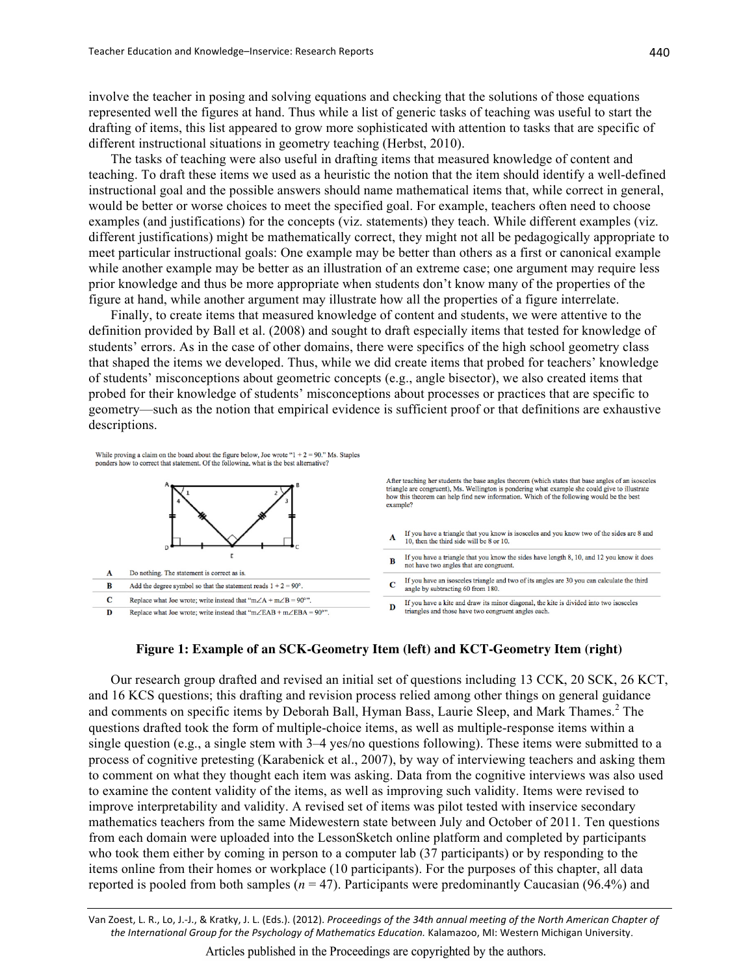involve the teacher in posing and solving equations and checking that the solutions of those equations represented well the figures at hand. Thus while a list of generic tasks of teaching was useful to start the drafting of items, this list appeared to grow more sophisticated with attention to tasks that are specific of different instructional situations in geometry teaching (Herbst, 2010).

The tasks of teaching were also useful in drafting items that measured knowledge of content and teaching. To draft these items we used as a heuristic the notion that the item should identify a well-defined instructional goal and the possible answers should name mathematical items that, while correct in general, would be better or worse choices to meet the specified goal. For example, teachers often need to choose examples (and justifications) for the concepts (viz. statements) they teach. While different examples (viz. different justifications) might be mathematically correct, they might not all be pedagogically appropriate to meet particular instructional goals: One example may be better than others as a first or canonical example while another example may be better as an illustration of an extreme case; one argument may require less prior knowledge and thus be more appropriate when students don't know many of the properties of the figure at hand, while another argument may illustrate how all the properties of a figure interrelate.

Finally, to create items that measured knowledge of content and students, we were attentive to the definition provided by Ball et al. (2008) and sought to draft especially items that tested for knowledge of students' errors. As in the case of other domains, there were specifics of the high school geometry class that shaped the items we developed. Thus, while we did create items that probed for teachers' knowledge of students' misconceptions about geometric concepts (e.g., angle bisector), we also created items that probed for their knowledge of students' misconceptions about processes or practices that are specific to geometry—such as the notion that empirical evidence is sufficient proof or that definitions are exhaustive descriptions.

While proving a claim on the board about the figure below, Joe wrote " $1 + 2 = 90$ ." Ms. Staples ponders how to correct that statement. Of the following, what is the best alternative?



After teaching her students the base angles theorem (which states that base angles of an isosceles triangle are congruent), Ms. Wellington is pondering what example she could give to illustrate how this theorem can help find new information. Which of the following would be the best example?

- If you have a triangle that you know is isosceles and you know two of the sides are 8 and A 10, then the third side will be 8 or 10.
- If you have a triangle that you know the sides have length 8, 10, and 12 you know it does  $\mathbf{B}$ not have two angles that are congruent.
- If you have an isosceles triangle and two of its angles are 30 you can calculate the third  $\bf C$ angle by subtracting 60 from 180.
- If you have a kite and draw its minor diagonal, the kite is divided into two isosceles D triangles and those have two congruent angles each

## Figure 1: Example of an SCK-Geometry Item (left) and KCT-Geometry Item (right)

Our research group drafted and revised an initial set of questions including 13 CCK, 20 SCK, 26 KCT, and 16 KCS questions; this drafting and revision process relied among other things on general guidance and comments on specific items by Deborah Ball, Hyman Bass, Laurie Sleep, and Mark Thames.<sup>2</sup> The questions drafted took the form of multiple-choice items, as well as multiple-response items within a single question (e.g., a single stem with 3-4 yes/no questions following). These items were submitted to a process of cognitive pretesting (Karabenick et al., 2007), by way of interviewing teachers and asking them to comment on what they thought each item was asking. Data from the cognitive interviews was also used to examine the content validity of the items, as well as improving such validity. Items were revised to improve interpretability and validity. A revised set of items was pilot tested with inservice secondary mathematics teachers from the same Midewestern state between July and October of 2011. Ten questions from each domain were uploaded into the LessonSketch online platform and completed by participants who took them either by coming in person to a computer lab (37 participants) or by responding to the items online from their homes or workplace (10 participants). For the purposes of this chapter, all data reported is pooled from both samples ( $n = 47$ ). Participants were predominantly Caucasian (96.4%) and

Van Zoest, L. R., Lo, J.-J., & Kratky, J. L. (Eds.). (2012). Proceedings of the 34th annual meeting of the North American Chapter of the International Group for the Psychology of Mathematics Education. Kalamazoo, MI: Western Michigan University.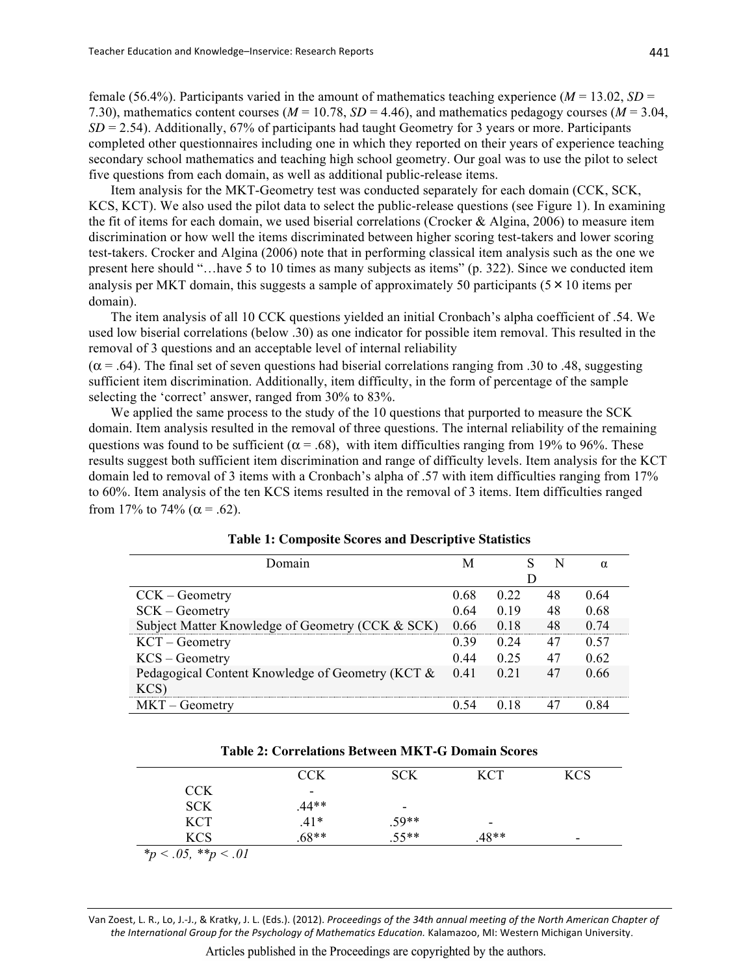female (56.4%). Participants varied in the amount of mathematics teaching experience ( $M = 13.02$ ,  $SD =$ 7.30), mathematics content courses ( $M = 10.78$ ,  $SD = 4.46$ ), and mathematics pedagogy courses ( $M = 3.04$ ,  $SD = 2.54$ ). Additionally, 67% of participants had taught Geometry for 3 years or more. Participants completed other questionnaires including one in which they reported on their years of experience teaching secondary school mathematics and teaching high school geometry. Our goal was to use the pilot to select five questions from each domain, as well as additional public-release items.

Item analysis for the MKT-Geometry test was conducted separately for each domain (CCK, SCK, KCS, KCT). We also used the pilot data to select the public-release questions (see Figure 1). In examining the fit of items for each domain, we used biserial correlations (Crocker & Algina, 2006) to measure item discrimination or how well the items discriminated between higher scoring test-takers and lower scoring test-takers. Crocker and Algina (2006) note that in performing classical item analysis such as the one we present here should "... have 5 to 10 times as many subjects as items" (p. 322). Since we conducted item analysis per MKT domain, this suggests a sample of approximately 50 participants  $(5 \times 10)$  items per domain).

The item analysis of all 10 CCK questions yielded an initial Cronbach's alpha coefficient of .54. We used low biserial correlations (below .30) as one indicator for possible item removal. This resulted in the removal of 3 questions and an acceptable level of internal reliability

 $(\alpha = .64)$ . The final set of seven questions had biserial correlations ranging from .30 to .48, suggesting sufficient item discrimination. Additionally, item difficulty, in the form of percentage of the sample selecting the 'correct' answer, ranged from 30% to 83%.

We applied the same process to the study of the 10 questions that purported to measure the SCK domain. Item analysis resulted in the removal of three questions. The internal reliability of the remaining questions was found to be sufficient ( $\alpha$  = .68), with item difficulties ranging from 19% to 96%. These results suggest both sufficient item discrimination and range of difficulty levels. Item analysis for the KCT domain led to removal of 3 items with a Cronbach's alpha of .57 with item difficulties ranging from 17% to 60%. Item analysis of the ten KCS items resulted in the removal of 3 items. Item difficulties ranged from 17% to 74% ( $\alpha$  = .62).

| $\lambda$ omain                                  | M    |      | N  | $\alpha$ |
|--------------------------------------------------|------|------|----|----------|
|                                                  |      |      |    |          |
| $CCK - Geometry$                                 | 0.68 | 0.22 | 48 | 0.64     |
| SCK – Geometry                                   | 0.64 | 0.19 | 48 | 0.68     |
| Subject Matter Knowledge of Geometry (CCK & SCK) | 0.66 | 0.18 | 48 | 0.74     |
| $KCT - Geometry$                                 | 0.39 | 0.24 | 47 | 0.57     |
| $KCS - Geometry$                                 | 0.44 | 0.25 | 47 | 0.62     |
| Pedagogical Content Knowledge of Geometry (KCT & | 0.41 | 021  | 47 | 0.66     |
| KCS)                                             |      |      |    |          |
| $MKT - Geometry$                                 | በ 54 | 0.18 |    | 0 84     |

| <b>Table 1: Composite Scores and Descriptive Statistics</b> |  |
|-------------------------------------------------------------|--|
|-------------------------------------------------------------|--|

| <b>Table 2: Correlations Between MKT-G Domain Scores</b> |  |  |  |
|----------------------------------------------------------|--|--|--|
|----------------------------------------------------------|--|--|--|

|                            | <b>CCK</b> | <b>SCK</b> | <b>KCT</b> | <b>KCS</b> |
|----------------------------|------------|------------|------------|------------|
| <b>CCK</b>                 | ۰          |            |            |            |
| <b>SCK</b>                 | $.44**$    | ۰          |            |            |
| <b>KCT</b>                 | $.41*$     | $.59**$    | -          |            |
| <b>KCS</b>                 | $.68**$    | $.55**$    | $.48**$    | -          |
| * $p < .05$ , ** $p < .01$ |            |            |            |            |

Van Zoest, L. R., Lo, J.-J., & Kratky, J. L. (Eds.). (2012). Proceedings of the 34th annual meeting of the North American Chapter of the International Group for the Psychology of Mathematics Education. Kalamazoo, MI: Western Michigan University.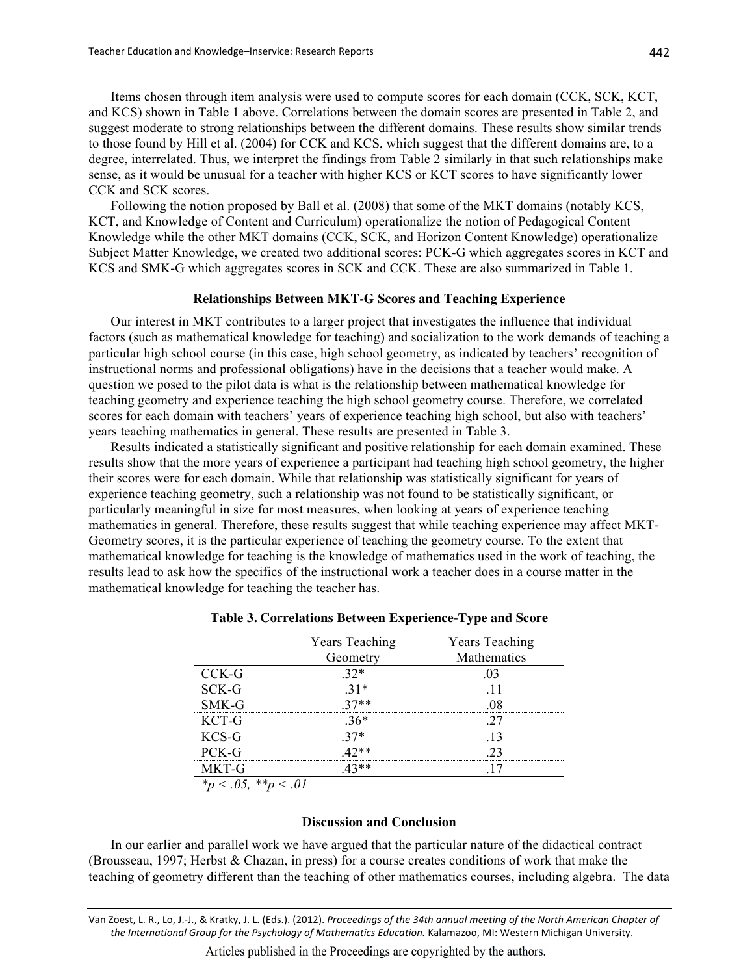Items chosen through item analysis were used to compute scores for each domain (CCK, SCK, KCT, and KCS) shown in Table 1 above. Correlations between the domain scores are presented in Table 2, and suggest moderate to strong relationships between the different domains. These results show similar trends to those found by Hill et al. (2004) for CCK and KCS, which suggest that the different domains are, to a degree, interrelated. Thus, we interpret the findings from Table 2 similarly in that such relationships make sense, as it would be unusual for a teacher with higher KCS or KCT scores to have significantly lower CCK and SCK scores.

Following the notion proposed by Ball et al. (2008) that some of the MKT domains (notably KCS, KCT, and Knowledge of Content and Curriculum) operationalize the notion of Pedagogical Content Knowledge while the other MKT domains (CCK, SCK, and Horizon Content Knowledge) operationalize Subject Matter Knowledge, we created two additional scores: PCK-G which aggregates scores in KCT and KCS and SMK-G which aggregates scores in SCK and CCK. These are also summarized in Table 1.

#### **Relationships Between MKT-G Scores and Teaching Experience**

Our interest in MKT contributes to a larger project that investigates the influence that individual factors (such as mathematical knowledge for teaching) and socialization to the work demands of teaching a particular high school course (in this case, high school geometry, as indicated by teachers' recognition of instructional norms and professional obligations) have in the decisions that a teacher would make. A question we posed to the pilot data is what is the relationship between mathematical knowledge for teaching geometry and experience teaching the high school geometry course. Therefore, we correlated scores for each domain with teachers' years of experience teaching high school, but also with teachers' years teaching mathematics in general. These results are presented in Table 3.

Results indicated a statistically significant and positive relationship for each domain examined. These results show that the more years of experience a participant had teaching high school geometry, the higher their scores were for each domain. While that relationship was statistically significant for years of experience teaching geometry, such a relationship was not found to be statistically significant, or particularly meaningful in size for most measures, when looking at years of experience teaching mathematics in general. Therefore, these results suggest that while teaching experience may affect MKT-Geometry scores, it is the particular experience of teaching the geometry course. To the extent that mathematical knowledge for teaching is the knowledge of mathematics used in the work of teaching, the results lead to ask how the specifics of the instructional work a teacher does in a course matter in the mathematical knowledge for teaching the teacher has.

|                                 | <b>Years Teaching</b> | Years Teaching |
|---------------------------------|-----------------------|----------------|
|                                 | Geometry              | Mathematics    |
| CCK-G                           | $32*$                 | -03            |
| SCK-G                           | $31*$                 | - 11           |
| SMK-G                           | $37**$                |                |
| KCT-G                           | $.36*$                |                |
| $KCS-G$                         | $37*$                 | -13            |
| PCK-G                           | $1.7**$               |                |
| MKT-G                           | 2**                   |                |
| مه مه<br>$\sim$ $\Omega$ $\sim$ | $\sim$ 0.1            |                |

## Table 3. Correlations Between Experience-Type and Score

\*p < .05, \*\*p < .01

#### **Discussion and Conclusion**

In our earlier and parallel work we have argued that the particular nature of the didactical contract (Brousseau, 1997; Herbst & Chazan, in press) for a course creates conditions of work that make the teaching of geometry different than the teaching of other mathematics courses, including algebra. The data

Van Zoest, L. R., Lo, J.-J., & Kratky, J. L. (Eds.). (2012). Proceedings of the 34th annual meeting of the North American Chapter of the International Group for the Psychology of Mathematics Education. Kalamazoo, MI: Western Michigan University.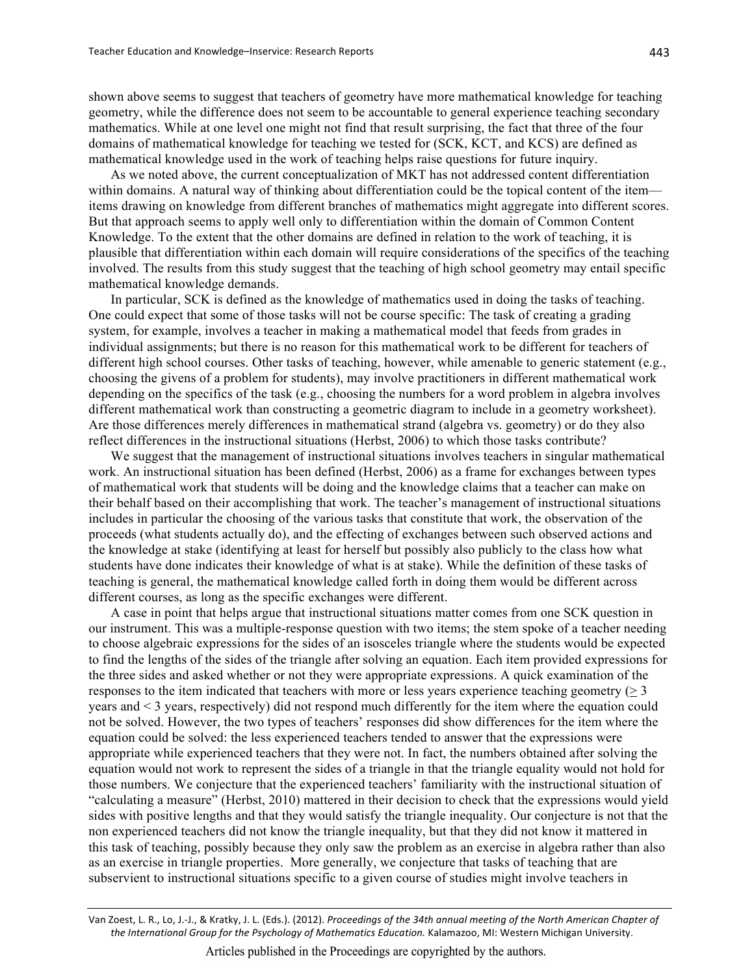shown above seems to suggest that teachers of geometry have more mathematical knowledge for teaching geometry, while the difference does not seem to be accountable to general experience teaching secondary mathematics. While at one level one might not find that result surprising, the fact that three of the four domains of mathematical knowledge for teaching we tested for (SCK, KCT, and KCS) are defined as mathematical knowledge used in the work of teaching helps raise questions for future inquiry.

As we noted above, the current conceptualization of MKT has not addressed content differentiation within domains. A natural way of thinking about differentiation could be the topical content of the item items drawing on knowledge from different branches of mathematics might aggregate into different scores. But that approach seems to apply well only to differentiation within the domain of Common Content Knowledge. To the extent that the other domains are defined in relation to the work of teaching, it is plausible that differentiation within each domain will require considerations of the specifics of the teaching involved. The results from this study suggest that the teaching of high school geometry may entail specific mathematical knowledge demands.

In particular, SCK is defined as the knowledge of mathematics used in doing the tasks of teaching. One could expect that some of those tasks will not be course specific. The task of creating a grading system, for example, involves a teacher in making a mathematical model that feeds from grades in individual assignments; but there is no reason for this mathematical work to be different for teachers of different high school courses. Other tasks of teaching, however, while amenable to generic statement (e.g., choosing the givens of a problem for students), may involve practitioners in different mathematical work depending on the specifics of the task (e.g., choosing the numbers for a word problem in algebra involves different mathematical work than constructing a geometric diagram to include in a geometry worksheet). Are those differences merely differences in mathematical strand (algebra vs. geometry) or do they also reflect differences in the instructional situations (Herbst, 2006) to which those tasks contribute?

We suggest that the management of instructional situations involves teachers in singular mathematical work. An instructional situation has been defined (Herbst, 2006) as a frame for exchanges between types of mathematical work that students will be doing and the knowledge claims that a teacher can make on their behalf based on their accomplishing that work. The teacher's management of instructional situations includes in particular the choosing of the various tasks that constitute that work, the observation of the proceeds (what students actually do), and the effecting of exchanges between such observed actions and the knowledge at stake (identifying at least for herself but possibly also publicly to the class how what students have done indicates their knowledge of what is at stake). While the definition of these tasks of teaching is general, the mathematical knowledge called forth in doing them would be different across different courses, as long as the specific exchanges were different.

A case in point that helps argue that instructional situations matter comes from one SCK question in our instrument. This was a multiple-response question with two items; the stem spoke of a teacher needing to choose algebraic expressions for the sides of an isosceles triangle where the students would be expected to find the lengths of the sides of the triangle after solving an equation. Each item provided expressions for the three sides and asked whether or not they were appropriate expressions. A quick examination of the responses to the item indicated that teachers with more or less years experience teaching geometry ( $\geq 3$ ) years and < 3 years, respectively) did not respond much differently for the item where the equation could not be solved. However, the two types of teachers' responses did show differences for the item where the equation could be solved: the less experienced teachers tended to answer that the expressions were appropriate while experienced teachers that they were not. In fact, the numbers obtained after solving the equation would not work to represent the sides of a triangle in that the triangle equality would not hold for those numbers. We conjecture that the experienced teachers' familiarity with the instructional situation of "calculating a measure" (Herbst, 2010) mattered in their decision to check that the expressions would yield sides with positive lengths and that they would satisfy the triangle inequality. Our conjecture is not that the non experienced teachers did not know the triangle inequality, but that they did not know it mattered in this task of teaching, possibly because they only saw the problem as an exercise in algebra rather than also as an exercise in triangle properties. More generally, we conjecture that tasks of teaching that are subservient to instructional situations specific to a given course of studies might involve teachers in

Van Zoest, L. R., Lo, J.-J., & Kratky, J. L. (Eds.). (2012). Proceedings of the 34th annual meeting of the North American Chapter of the International Group for the Psychology of Mathematics Education. Kalamazoo, MI: Western Michigan University.